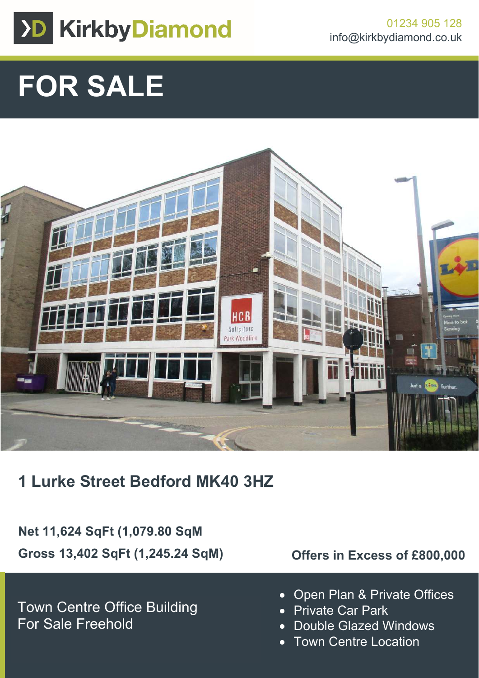

# **FOR SALE**



**1 Lurke Street Bedford MK40 3HZ**

**Net 11,624 SqFt (1,079.80 SqM Gross 13,402 SqFt (1,245.24 SqM)**

Town Centre Office Building For Sale Freehold

# **Offers in Excess of £800,000**

- Open Plan & Private Offices
- Private Car Park
- Double Glazed Windows
- Town Centre Location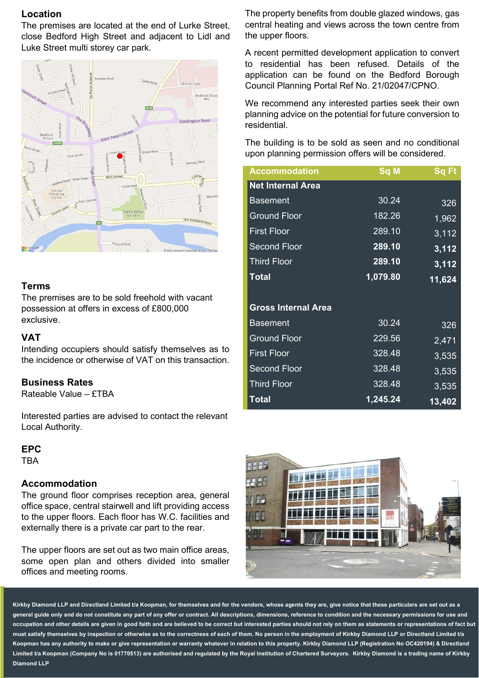### **Location**

The premises are located at the end of Lurke Street, close Bedford High Street and adjacent to Lidl and Luke Street multi storey car park.



#### **Terms**

The premises are to be sold freehold with vacant possession at offers in excess of £800,000 exclusive.

#### **VAT**

Intending occupiers should satisfy themselves as to the incidence or otherwise of VAT on this transaction.

#### **Business Rates**

Rateable Value – £TBA

Interested parties are advised to contact the relevant Local Authority.

#### **EPC**

TBA

#### **Accommodation**

The ground floor comprises reception area, general office space, central stairwell and lift providing access to the upper floors. Each floor has W.C. facilities and externally there is a private car part to the rear.

The upper floors are set out as two main office areas, some open plan and others divided into smaller offices and meeting rooms.

The property benefits from double glazed windows, gas central heating and views across the town centre from the upper floors.

A recent permitted development application to convert to residential has been refused. Details of the application can be found on the Bedford Borough Council Planning Portal Ref No. 21/02047/CPNO.

We recommend any interested parties seek their own planning advice on the potential for future conversion to residential.

The building is to be sold as seen and no conditional upon planning permission offers will be considered.

| <b>Accommodation</b>       | Sq M     | <b>Sq Ft</b> |
|----------------------------|----------|--------------|
| <b>Net Internal Area</b>   |          |              |
| <b>Basement</b>            | 30.24    | 326          |
| <b>Ground Floor</b>        | 182.26   | 1,962        |
| <b>First Floor</b>         | 289.10   | 3,112        |
| <b>Second Floor</b>        | 289.10   | 3,112        |
| <b>Third Floor</b>         | 289.10   | 3,112        |
| <b>Total</b>               | 1,079.80 | 11,624       |
|                            |          |              |
| <b>Gross Internal Area</b> |          |              |
| <b>Basement</b>            | 30.24    | 326          |
| <b>Ground Floor</b>        | 229.56   | 2,471        |
| <b>First Floor</b>         | 328.48   | 3,535        |
| <b>Second Floor</b>        | 328.48   | 3,535        |
| <b>Third Floor</b>         | 328.48   | 3,535        |
| <b>Total</b>               | 1,245.24 | 13,402       |



**Kirkby Diamond LLP and Directland Limited t/a Koopman, for themselves and for the vendors, whose agents they are, give notice that these particulars are set out as a general guide only and do not constitute any part of any offer or contract. All descriptions, dimensions, reference to condition and the necessary permissions for use and occupation and other details are given in good faith and are believed to be correct but interested parties should not rely on them as statements or representations of fact but**  must satisfy themselves by inspection or otherwise as to the correctness of each of them. No person in the employment of Kirkby Diamond LLP or Directland Limited t/a **Koopman has any authority to make or give representation or warranty whatever in relation to this property. Kirkby Diamond LLP (Registration No OC420194) & Directland Limited t/a Koopman (Company No is 01770513) are authorised and regulated by the Royal Institution of Chartered Surveyors. Kirkby Diamond is a trading name of Kirkby Diamond LLP**